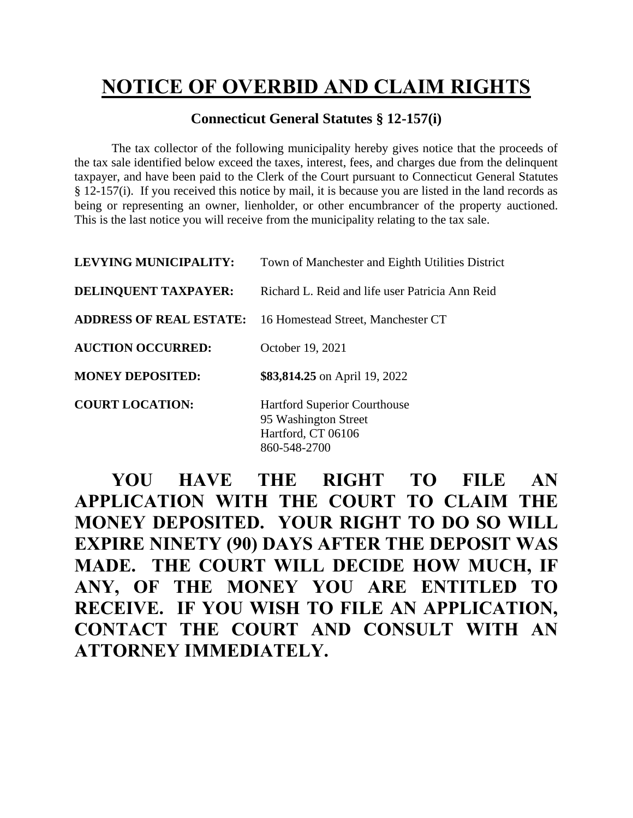## **NOTICE OF OVERBID AND CLAIM RIGHTS**

## **Connecticut General Statutes § 12-157(i)**

The tax collector of the following municipality hereby gives notice that the proceeds of the tax sale identified below exceed the taxes, interest, fees, and charges due from the delinquent taxpayer, and have been paid to the Clerk of the Court pursuant to Connecticut General Statutes § 12-157(i). If you received this notice by mail, it is because you are listed in the land records as being or representing an owner, lienholder, or other encumbrancer of the property auctioned. This is the last notice you will receive from the municipality relating to the tax sale.

| <b>LEVYING MUNICIPALITY:</b>   | Town of Manchester and Eighth Utilities District                                  |
|--------------------------------|-----------------------------------------------------------------------------------|
| <b>DELINQUENT TAXPAYER:</b>    | Richard L. Reid and life user Patricia Ann Reid                                   |
| <b>ADDRESS OF REAL ESTATE:</b> | 16 Homestead Street, Manchester CT                                                |
| <b>AUCTION OCCURRED:</b>       | October 19, 2021                                                                  |
| <b>MONEY DEPOSITED:</b>        | \$83,814.25 on April 19, 2022                                                     |
| <b>COURT LOCATION:</b>         | <b>Hartford Superior Courthouse</b><br>95 Washington Street<br>Hartford, CT 06106 |

860-548-2700

**YOU HAVE THE RIGHT TO FILE AN APPLICATION WITH THE COURT TO CLAIM THE MONEY DEPOSITED. YOUR RIGHT TO DO SO WILL EXPIRE NINETY (90) DAYS AFTER THE DEPOSIT WAS MADE. THE COURT WILL DECIDE HOW MUCH, IF ANY, OF THE MONEY YOU ARE ENTITLED TO RECEIVE. IF YOU WISH TO FILE AN APPLICATION, CONTACT THE COURT AND CONSULT WITH AN ATTORNEY IMMEDIATELY.**